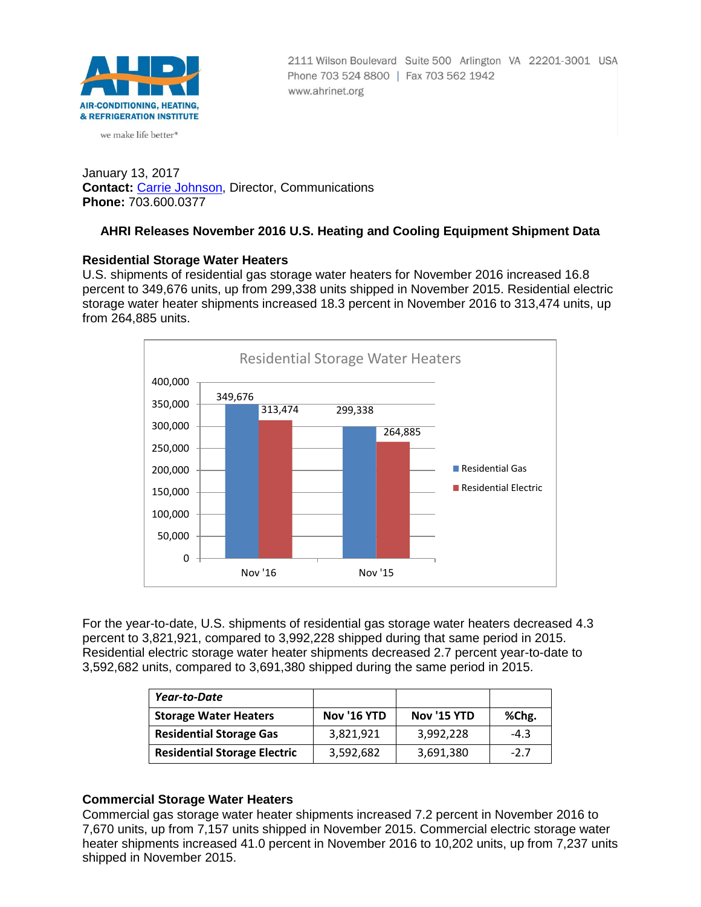

we make life better<sup>®</sup>

2111 Wilson Boulevard Suite 500 Arlington VA 22201-3001 USA Phone 703 524 8800 | Fax 703 562 1942 www.ahrinet.org

January 13, 2017 **Contact:** [Carrie Johnson,](mailto:cjohnson@ahrinet.org) Director, Communications **Phone:** 703.600.0377

# **AHRI Releases November 2016 U.S. Heating and Cooling Equipment Shipment Data**

### **Residential Storage Water Heaters**

U.S. shipments of residential gas storage water heaters for November 2016 increased 16.8 percent to 349,676 units, up from 299,338 units shipped in November 2015. Residential electric storage water heater shipments increased 18.3 percent in November 2016 to 313,474 units, up from 264,885 units.



For the year-to-date, U.S. shipments of residential gas storage water heaters decreased 4.3 percent to 3,821,921, compared to 3,992,228 shipped during that same period in 2015. Residential electric storage water heater shipments decreased 2.7 percent year-to-date to 3,592,682 units, compared to 3,691,380 shipped during the same period in 2015.

| Year-to-Date                        |             |                    |        |
|-------------------------------------|-------------|--------------------|--------|
| <b>Storage Water Heaters</b>        | Nov '16 YTD | <b>Nov '15 YTD</b> | %Chg.  |
| <b>Residential Storage Gas</b>      | 3,821,921   | 3,992,228          | $-4.3$ |
| <b>Residential Storage Electric</b> | 3,592,682   | 3,691,380          | $-2.7$ |

# **Commercial Storage Water Heaters**

Commercial gas storage water heater shipments increased 7.2 percent in November 2016 to 7,670 units, up from 7,157 units shipped in November 2015. Commercial electric storage water heater shipments increased 41.0 percent in November 2016 to 10,202 units, up from 7,237 units shipped in November 2015.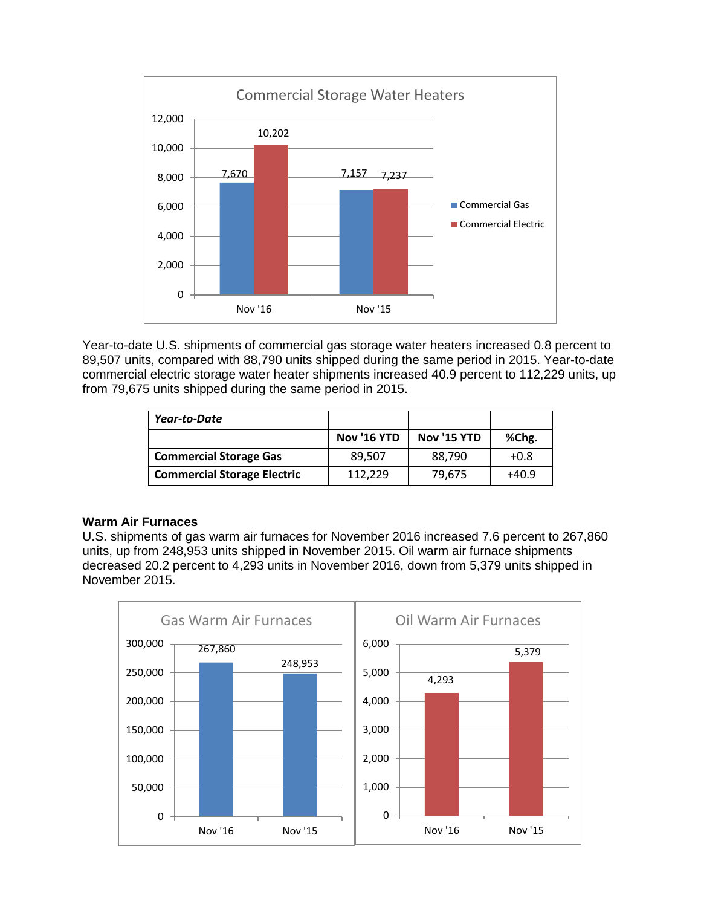

Year-to-date U.S. shipments of commercial gas storage water heaters increased 0.8 percent to 89,507 units, compared with 88,790 units shipped during the same period in 2015. Year-to-date commercial electric storage water heater shipments increased 40.9 percent to 112,229 units, up from 79,675 units shipped during the same period in 2015.

| Year-to-Date                       |                    |                    |         |
|------------------------------------|--------------------|--------------------|---------|
|                                    | <b>Nov '16 YTD</b> | <b>Nov '15 YTD</b> | %Chg.   |
| <b>Commercial Storage Gas</b>      | 89.507             | 88,790             | $+0.8$  |
| <b>Commercial Storage Electric</b> | 112.229            | 79,675             | $+40.9$ |

# **Warm Air Furnaces**

U.S. shipments of gas warm air furnaces for November 2016 increased 7.6 percent to 267,860 units, up from 248,953 units shipped in November 2015. Oil warm air furnace shipments decreased 20.2 percent to 4,293 units in November 2016, down from 5,379 units shipped in November 2015.

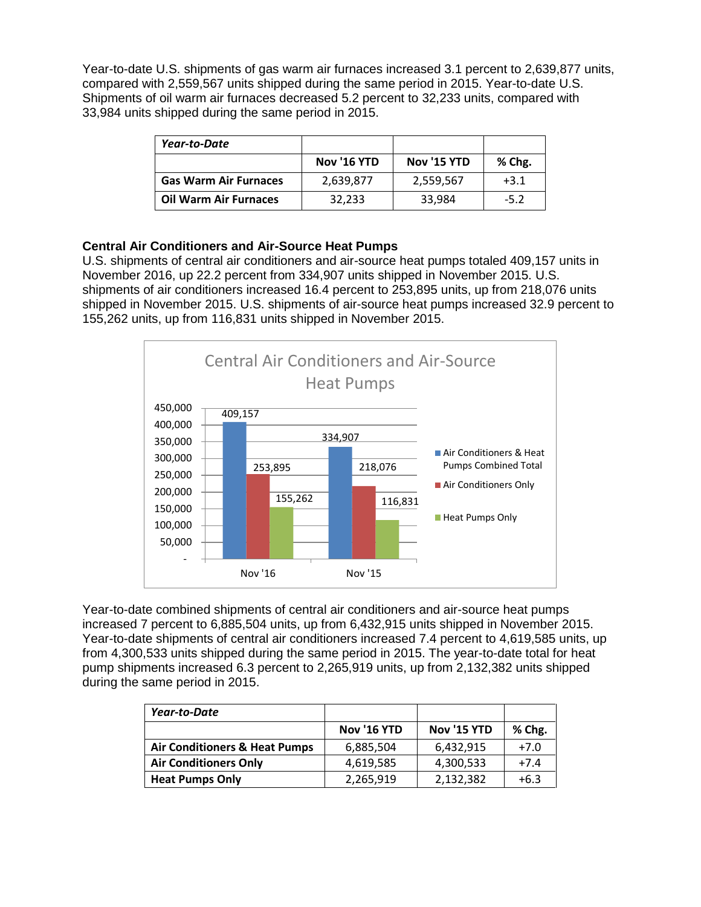Year-to-date U.S. shipments of gas warm air furnaces increased 3.1 percent to 2,639,877 units, compared with 2,559,567 units shipped during the same period in 2015. Year-to-date U.S. Shipments of oil warm air furnaces decreased 5.2 percent to 32,233 units, compared with 33,984 units shipped during the same period in 2015.

| Year-to-Date                 |                    |                    |        |
|------------------------------|--------------------|--------------------|--------|
|                              | <b>Nov '16 YTD</b> | <b>Nov '15 YTD</b> | % Chg. |
| <b>Gas Warm Air Furnaces</b> | 2,639,877          | 2,559,567          | $+3.1$ |
| <b>Oil Warm Air Furnaces</b> | 32.233             | 33,984             | $-5.2$ |

# **Central Air Conditioners and Air-Source Heat Pumps**

U.S. shipments of central air conditioners and air-source heat pumps totaled 409,157 units in November 2016, up 22.2 percent from 334,907 units shipped in November 2015. U.S. shipments of air conditioners increased 16.4 percent to 253,895 units, up from 218,076 units shipped in November 2015. U.S. shipments of air-source heat pumps increased 32.9 percent to 155,262 units, up from 116,831 units shipped in November 2015.



Year-to-date combined shipments of central air conditioners and air-source heat pumps increased 7 percent to 6,885,504 units, up from 6,432,915 units shipped in November 2015. Year-to-date shipments of central air conditioners increased 7.4 percent to 4,619,585 units, up from 4,300,533 units shipped during the same period in 2015. The year-to-date total for heat pump shipments increased 6.3 percent to 2,265,919 units, up from 2,132,382 units shipped during the same period in 2015.

| Year-to-Date                  |                    |             |        |
|-------------------------------|--------------------|-------------|--------|
|                               | <b>Nov '16 YTD</b> | Nov '15 YTD | % Chg. |
| Air Conditioners & Heat Pumps | 6,885,504          | 6,432,915   | $+7.0$ |
| <b>Air Conditioners Only</b>  | 4,619,585          | 4,300,533   | $+7.4$ |
| <b>Heat Pumps Only</b>        | 2,265,919          | 2,132,382   | $+6.3$ |